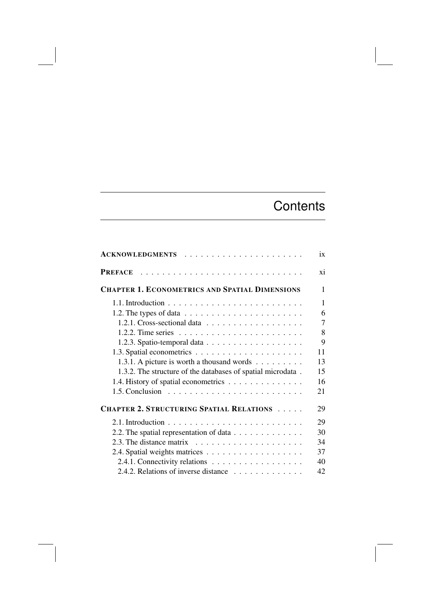## **Contents**

| <b>ACKNOWLEDGMENTS</b>                                                | ix |
|-----------------------------------------------------------------------|----|
| <b>PREFACE</b>                                                        | xi |
| <b>CHAPTER 1. ECONOMETRICS AND SPATIAL DIMENSIONS</b>                 | 1  |
|                                                                       | 1  |
|                                                                       | 6  |
|                                                                       | 7  |
| 1.2.2. Time series $\ldots \ldots \ldots \ldots \ldots \ldots \ldots$ | 8  |
|                                                                       | 9  |
|                                                                       | 11 |
| 1.3.1. A picture is worth a thousand words                            | 13 |
| 1.3.2. The structure of the databases of spatial microdata.           | 15 |
| 1.4. History of spatial econometrics                                  | 16 |
|                                                                       | 21 |
| <b>CHAPTER 2. STRUCTURING SPATIAL RELATIONS</b>                       | 29 |
|                                                                       | 29 |
| 2.2. The spatial representation of data                               | 30 |
| 2.3. The distance matrix $\ldots \ldots \ldots \ldots \ldots \ldots$  | 34 |
|                                                                       | 37 |
| 2.4.1. Connectivity relations                                         | 40 |
| 2.4.2. Relations of inverse distance                                  | 42 |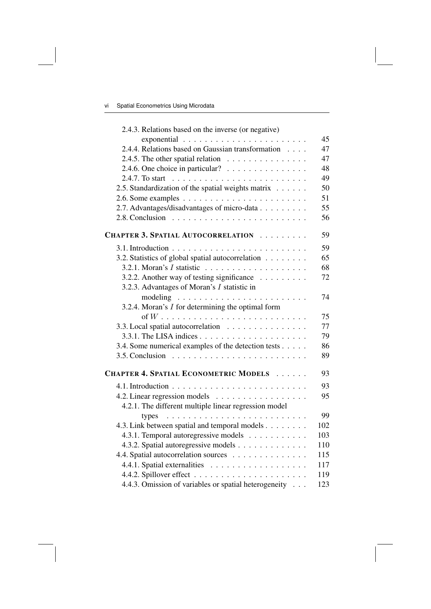| 2.4.3. Relations based on the inverse (or negative)                                | 45  |
|------------------------------------------------------------------------------------|-----|
| 2.4.4. Relations based on Gaussian transformation                                  | 47  |
| 2.4.5. The other spatial relation $\ldots \ldots \ldots \ldots \ldots$             | 47  |
| 2.4.6. One choice in particular? $\ldots \ldots \ldots \ldots \ldots$              | 48  |
|                                                                                    | 49  |
| 2.5. Standardization of the spatial weights matrix                                 | 50  |
| 2.6. Some examples $\dots \dots \dots \dots \dots \dots \dots \dots \dots$         | 51  |
| 2.7. Advantages/disadvantages of micro-data                                        | 55  |
| 2.8. Conclusion $\ldots \ldots \ldots \ldots \ldots \ldots \ldots \ldots$          | 56  |
| CHAPTER 3. SPATIAL AUTOCORRELATION                                                 | 59  |
| 3.1. Introduction $\ldots \ldots \ldots \ldots \ldots \ldots \ldots \ldots \ldots$ | 59  |
| 3.2. Statistics of global spatial autocorrelation                                  | 65  |
|                                                                                    | 68  |
| 3.2.2. Another way of testing significance $\dots \dots$                           | 72  |
| 3.2.3. Advantages of Moran's I statistic in                                        |     |
|                                                                                    | 74  |
| 3.2.4. Moran's $I$ for determining the optimal form                                |     |
|                                                                                    | 75  |
| 3.3. Local spatial autocorrelation                                                 | 77  |
|                                                                                    | 79  |
| 3.4. Some numerical examples of the detection tests                                | 86  |
| 3.5. Conclusion $\ldots \ldots \ldots \ldots \ldots \ldots \ldots \ldots$          | 89  |
| <b>CHAPTER 4. SPATIAL ECONOMETRIC MODELS</b>                                       | 93  |
|                                                                                    | 93  |
| 4.2. Linear regression models                                                      | 95  |
| 4.2.1. The different multiple linear regression model                              |     |
|                                                                                    | 99  |
| 4.3. Link between spatial and temporal models                                      | 102 |
| 4.3.1. Temporal autoregressive models                                              | 103 |
| 4.3.2. Spatial autoregressive models                                               | 110 |
| 4.4. Spatial autocorrelation sources                                               | 115 |
|                                                                                    | 117 |
|                                                                                    | 119 |
| 4.4.3. Omission of variables or spatial heterogeneity                              | 123 |